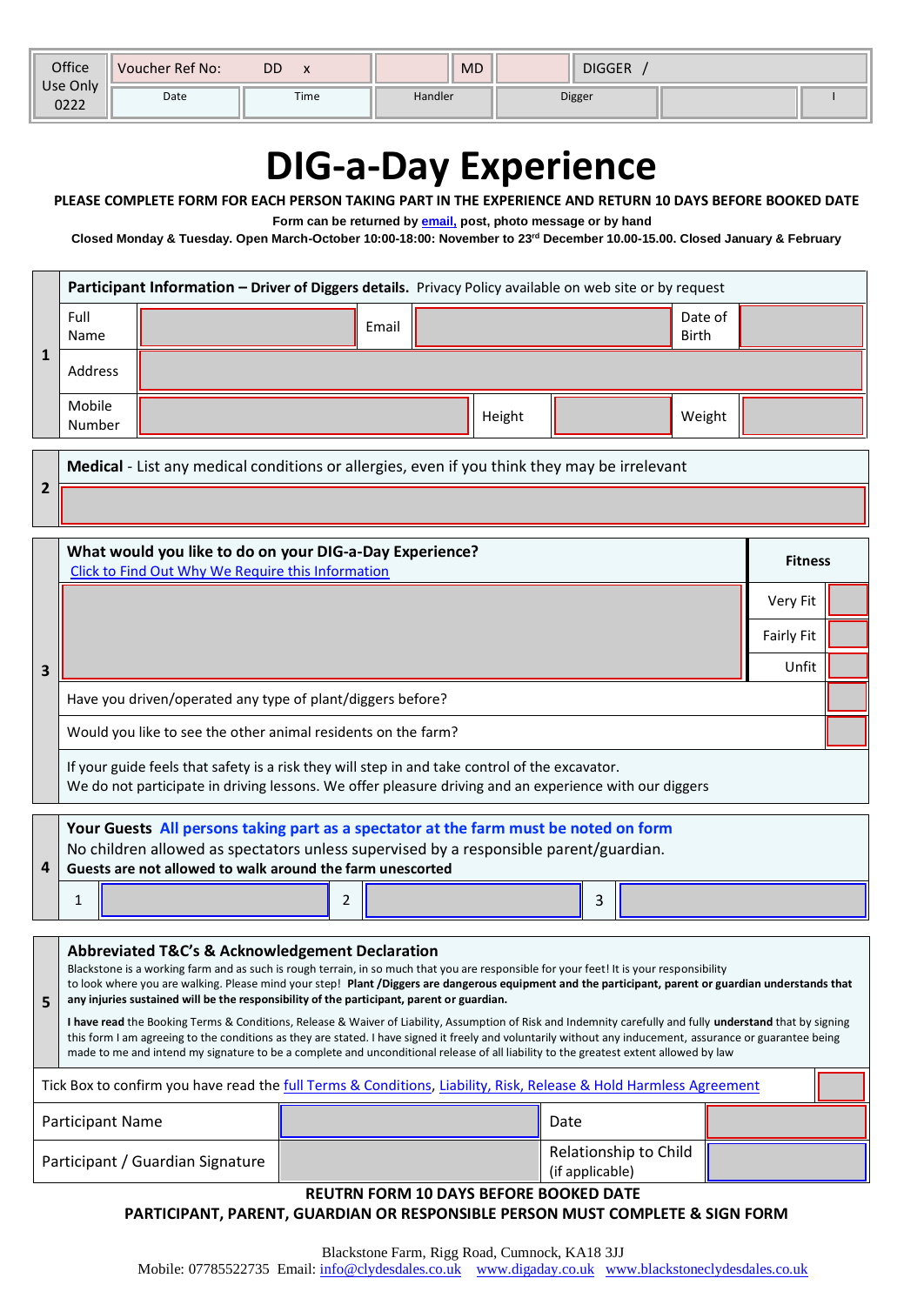| Office           | <b>Voucher Ref No:</b> | DD   | <b>MD</b><br><b>DIGGER</b> |        |  |  |
|------------------|------------------------|------|----------------------------|--------|--|--|
| Use Only<br>0222 | Date                   | Time | Handler                    | Digger |  |  |

# **DIG-a-Day Experience**

#### **PLEASE COMPLETE FORM FOR EACH PERSON TAKING PART IN THE EXPERIENCE AND RETURN 10 DAYS BEFORE BOOKED DATE**

**Form can be returned by [email,](mailto:info@clydesdales.co.uk?subject=Riding%20Experience%20Form) post, photo message or by hand**

**Closed Monday & Tuesday. Open March-October 10:00-18:00: November to 23rd December 10.00-15.00. Closed January & February**

| Participant Information - Driver of Diggers details. Privacy Policy available on web site or by request |  |       |  |        |  |                         |  |
|---------------------------------------------------------------------------------------------------------|--|-------|--|--------|--|-------------------------|--|
| Full<br>Name                                                                                            |  | Email |  |        |  | Date of<br><b>Birth</b> |  |
| Address                                                                                                 |  |       |  |        |  |                         |  |
| Mobile<br>Number                                                                                        |  |       |  | Height |  | Weight                  |  |

**Medical** - List any medical conditions or allergies, even if you think they may be irrelevant

**2**

|   | What would you like to do on your DIG-a-Day Experience?<br>Click to Find Out Why We Require this Information | <b>Fitness</b> |  |  |
|---|--------------------------------------------------------------------------------------------------------------|----------------|--|--|
| 3 |                                                                                                              | Very Fit       |  |  |
|   |                                                                                                              | Fairly Fit     |  |  |
|   |                                                                                                              | Unfit          |  |  |
|   | Have you driven/operated any type of plant/diggers before?                                                   |                |  |  |
|   | Would you like to see the other animal residents on the farm?                                                |                |  |  |
|   | If your guide feels that safety is a risk they will step in and take control of the excavator.               |                |  |  |

We do not participate in driving lessons. We offer pleasure driving and an experience with our diggers

| 4 | Your Guests All persons taking part as a spectator at the farm must be noted on form<br>No children allowed as spectators unless supervised by a responsible parent/guardian.<br>Guests are not allowed to walk around the farm unescorted |  |  |   |  |  |  |
|---|--------------------------------------------------------------------------------------------------------------------------------------------------------------------------------------------------------------------------------------------|--|--|---|--|--|--|
|   |                                                                                                                                                                                                                                            |  |  | 3 |  |  |  |

**5 Abbreviated T&C's & Acknowledgement Declaration** Blackstone is a working farm and as such is rough terrain, in so much that you are responsible for your feet! It is your responsibility to look where you are walking. Please mind your step! **Plant /Diggers are dangerous equipment and the participant, parent or guardian understands that any injuries sustained will be the responsibility of the participant, parent or guardian. I have read** the Booking Terms & Conditions, Release & Waiver of Liability, Assumption of Risk and Indemnity carefully and fully **understand** that by signing this form I am agreeing to the conditions as they are stated. I have signed it freely and voluntarily without any inducement, assurance or guarantee being made to me and intend my signature to be a complete and unconditional release of all liability to the greatest extent allowed by law Tick Box to confirm you have read the *full Terms & Conditions, Liability*, Risk, Release & Hold Harmless Agreement Participant Name **Date II Date II Date II Date** Participant / Guardian Signature Relationship to Child (if applicable)

#### **REUTRN FORM 10 DAYS BEFORE BOOKED DATE**

**PARTICIPANT, PARENT, GUARDIAN OR RESPONSIBLE PERSON MUST COMPLETE & SIGN FORM**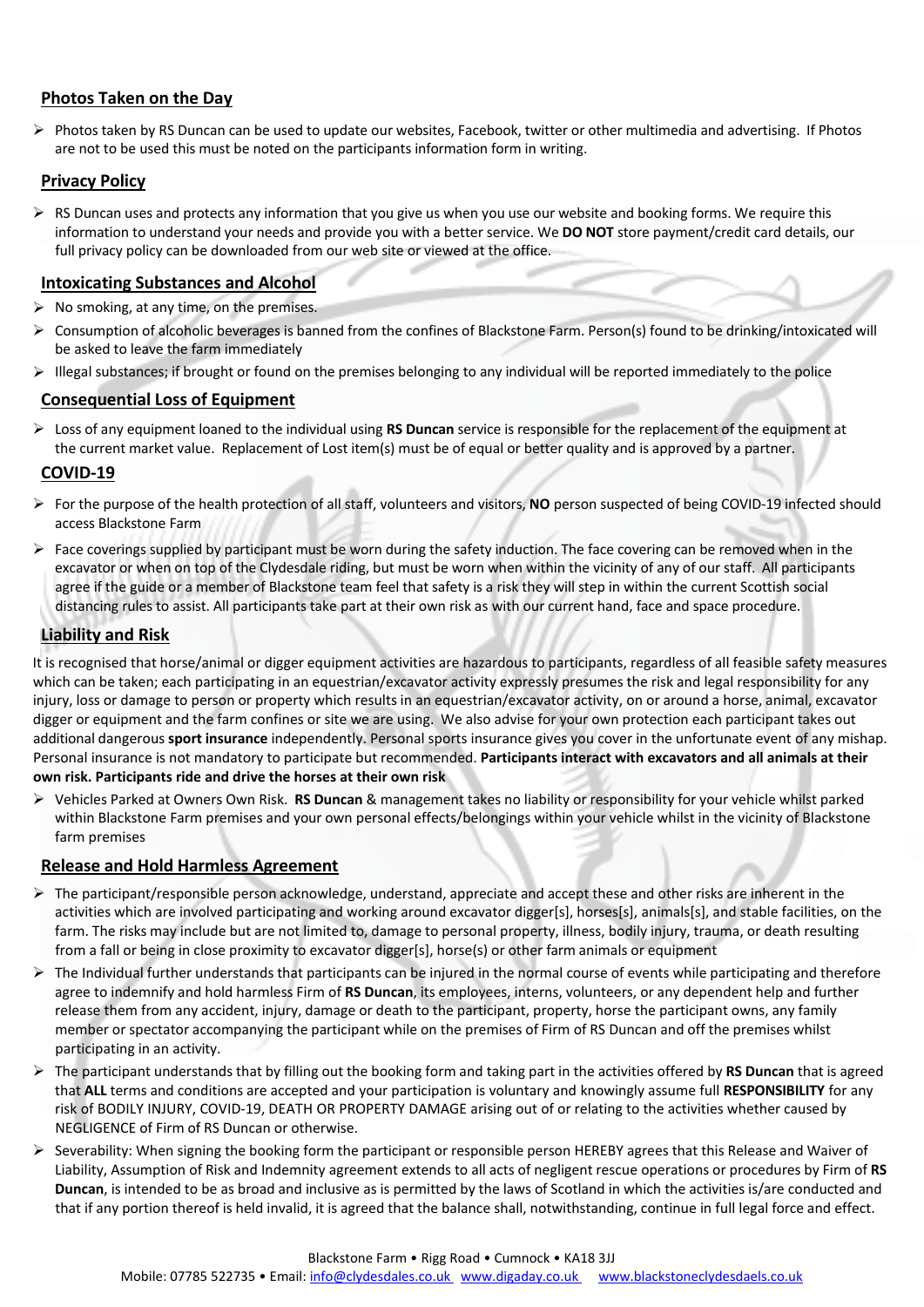#### **Photos Taken on the Day**

¾ Photos taken by RS Duncan can be used to update our websites, Facebook, twitter or other multimedia and advertising. If Photos are not to be used this must be noted on the participants information form in writing.

#### **Privacy Policy**

 $\triangleright$  RS Duncan uses and protects any information that you give us when you use our website and booking forms. We require this information to understand your needs and provide you with a better service. We **DO NOT** store payment/credit card details, our full privacy policy can be downloaded from our web site or viewed at the office.

#### **Intoxicating Substances and Alcohol**

- $\triangleright$  No smoking, at any time, on the premises.
- ¾ Consumption of alcoholic beverages is banned from the confines of Blackstone Farm. Person(s) found to be drinking/intoxicated will be asked to leave the farm immediately
- ¾ Illegal substances; if brought or found on the premises belonging to any individual will be reported immediately to the police

#### **Consequential Loss of Equipment**

¾ Loss of any equipment loaned to the individual using **RS Duncan** service is responsible for the replacement of the equipment at the current market value. Replacement of Lost item(s) must be of equal or better quality and is approved by a partner.

#### **COVID-19**

- ¾ For the purpose of the health protection of all staff, volunteers and visitors, **NO** person suspected of being COVID-19 infected should access Blackstone Farm
- $\triangleright$  Face coverings supplied by participant must be worn during the safety induction. The face covering can be removed when in the excavator or when on top of the Clydesdale riding, but must be worn when within the vicinity of any of our staff. All participants agree if the guide or a member of Blackstone team feel that safety is a risk they will step in within the current Scottish social distancing rules to assist. All participants take part at their own risk as with our current hand, face and space procedure.

#### **Liability and Risk**

It is recognised that horse/animal or digger equipment activities are hazardous to participants, regardless of all feasible safety measures which can be taken; each participating in an equestrian/excavator activity expressly presumes the risk and legal responsibility for any injury, loss or damage to person or property which results in an equestrian/excavator activity, on or around a horse, animal, excavator digger or equipment and the farm confines or site we are using. We also advise for your own protection each participant takes out additional dangerous **sport insurance** independently. Personal sports insurance gives you cover in the unfortunate event of any mishap. Personal insurance is not mandatory to participate but recommended. **Participants interact with excavators and all animals at their own risk. Participants ride and drive the horses at their own risk**

¾ Vehicles Parked at Owners Own Risk. **RS Duncan** & management takes no liability or responsibility for your vehicle whilst parked within Blackstone Farm premises and your own personal effects/belongings within your vehicle whilst in the vicinity of Blackstone farm premises

#### **Release and Hold Harmless Agreement**

- $\triangleright$  The participant/responsible person acknowledge, understand, appreciate and accept these and other risks are inherent in the activities which are involved participating and working around excavator digger[s], horses[s], animals[s], and stable facilities, on the farm. The risks may include but are not limited to, damage to personal property, illness, bodily injury, trauma, or death resulting from a fall or being in close proximity to excavator digger[s], horse(s) or other farm animals or equipment
- $\triangleright$  The Individual further understands that participants can be injured in the normal course of events while participating and therefore agree to indemnify and hold harmless Firm of **RS Duncan**, its employees, interns, volunteers, or any dependent help and further release them from any accident, injury, damage or death to the participant, property, horse the participant owns, any family member or spectator accompanying the participant while on the premises of Firm of RS Duncan and off the premises whilst participating in an activity.
- ¾ The participant understands that by filling out the booking form and taking part in the activities offered by **RS Duncan** that is agreed that **ALL** terms and conditions are accepted and your participation is voluntary and knowingly assume full **RESPONSIBILITY** for any risk of BODILY INJURY, COVID-19, DEATH OR PROPERTY DAMAGE arising out of or relating to the activities whether caused by NEGLIGENCE of Firm of RS Duncan or otherwise.
- $\triangleright$  Severability: When signing the booking form the participant or responsible person HEREBY agrees that this Release and Waiver of Liability, Assumption of Risk and Indemnity agreement extends to all acts of negligent rescue operations or procedures by Firm of **RS Duncan**, is intended to be as broad and inclusive as is permitted by the laws of Scotland in which the activities is/are conducted and that if any portion thereof is held invalid, it is agreed that the balance shall, notwithstanding, continue in full legal force and effect.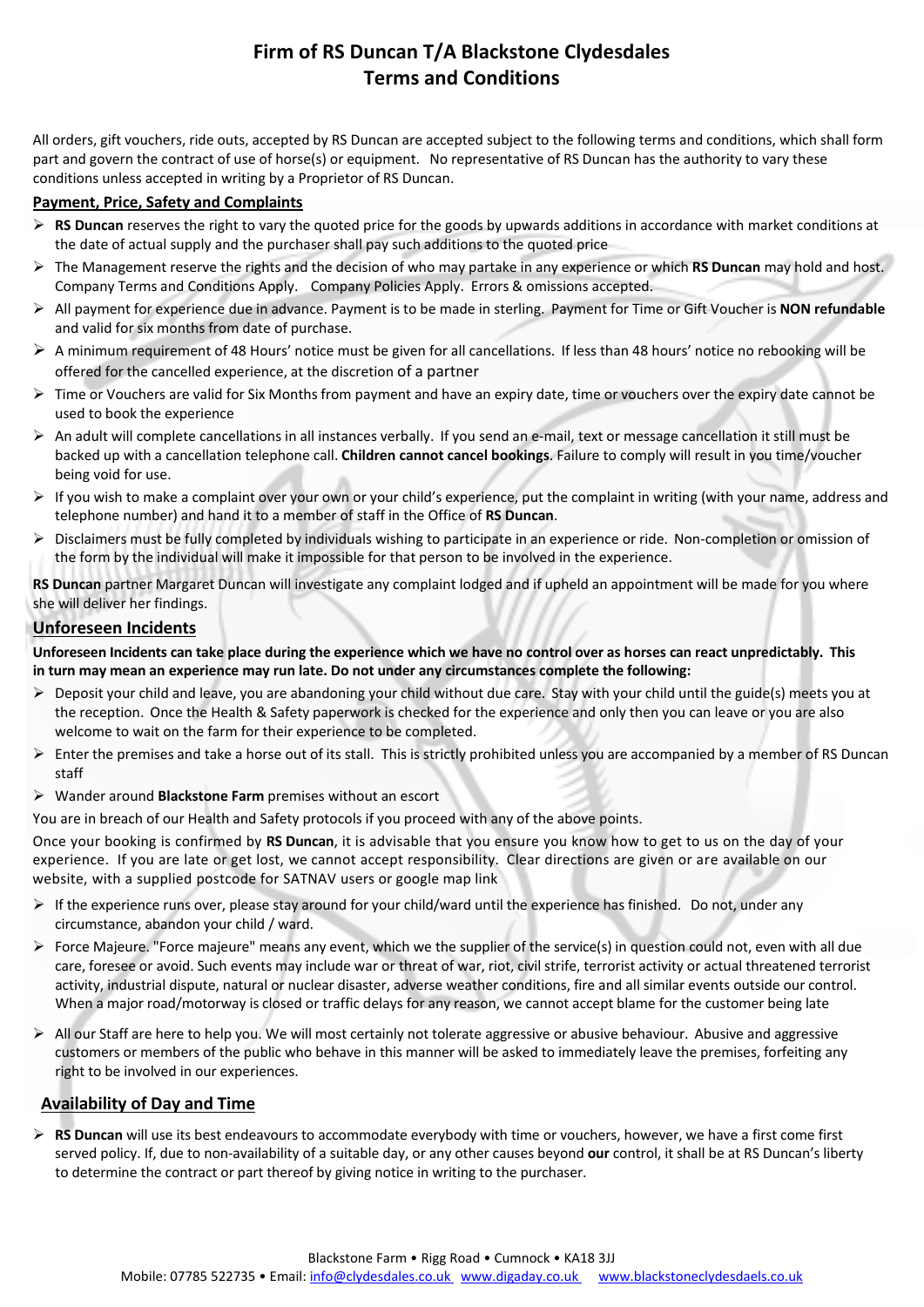### **Firm of RS Duncan T/A Blackstone Clydesdales Terms and Conditions**

All orders, gift vouchers, ride outs, accepted by RS Duncan are accepted subject to the following terms and conditions, which shall form part and govern the contract of use of horse(s) or equipment. No representative of RS Duncan has the authority to vary these conditions unless accepted in writing by a Proprietor of RS Duncan.

#### **Payment, Price, Safety and Complaints**

- ¾ **RS Duncan** reserves the right to vary the quoted price for the goods by upwards additions in accordance with market conditions at the date of actual supply and the purchaser shall pay such additions to the quoted price
- ¾ The Management reserve the rights and the decision of who may partake in any experience or which **RS Duncan** may hold and host. Company Terms and Conditions Apply. Company Policies Apply. Errors & omissions accepted.
- ¾ All payment for experience due in advance. Payment is to be made in sterling. Payment for Time or Gift Voucher is **NON refundable** and valid for six months from date of purchase.
- ¾ A minimum requirement of 48 Hours' notice must be given for all cancellations. If less than 48 hours' notice no rebooking will be offered for the cancelled experience, at the discretion of a partner
- $\triangleright$  Time or Vouchers are valid for Six Months from payment and have an expiry date, time or vouchers over the expiry date cannot be used to book the experience
- $\triangleright$  An adult will complete cancellations in all instances verbally. If you send an e-mail, text or message cancellation it still must be backed up with a cancellation telephone call. **Children cannot cancel bookings**. Failure to comply will result in you time/voucher being void for use.
- $\triangleright$  If you wish to make a complaint over your own or your child's experience, put the complaint in writing (with your name, address and telephone number) and hand it to a member of staff in the Office of **RS Duncan**.
- $\triangleright$  Disclaimers must be fully completed by individuals wishing to participate in an experience or ride. Non-completion or omission of the form by the individual will make it impossible for that person to be involved in the experience.

**RS Duncan** partner Margaret Duncan will investigate any complaint lodged and if upheld an appointment will be made for you where she will deliver her findings.

#### **Unforeseen Incidents**

Unforeseen Incidents can take place during the experience which we have no control over as horses can react unpredictably. This **in turn may mean an experience may run late. Do not under any circumstances complete the following:** 

- $\triangleright$  Deposit your child and leave, you are abandoning your child without due care. Stay with your child until the guide(s) meets you at the reception. Once the Health & Safety paperwork is checked for the experience and only then you can leave or you are also welcome to wait on the farm for their experience to be completed.
- Enter the premises and take a horse out of its stall. This is strictly prohibited unless you are accompanied by a member of RS Duncan staff
- ¾ Wander around **Blackstone Farm** premises without an escort

You are in breach of our Health and Safety protocols if you proceed with any of the above points.

Once your booking is confirmed by **RS Duncan**, it is advisable that you ensure you know how to get to us on the day of your experience. If you are late or get lost, we cannot accept responsibility. Clear directions are given or are available on our website, with a supplied postcode for SATNAV users or google map link

- $\triangleright$  If the experience runs over, please stay around for your child/ward until the experience has finished. Do not, under any circumstance, abandon your child / ward.
- $\triangleright$  Force Majeure. "Force majeure" means any event, which we the supplier of the service(s) in question could not, even with all due care, foresee or avoid. Such events may include war or threat of war, riot, civil strife, terrorist activity or actual threatened terrorist activity, industrial dispute, natural or nuclear disaster, adverse weather conditions, fire and all similar events outside our control. When a major road/motorway is closed or traffic delays for any reason, we cannot accept blame for the customer being late
- $\triangleright$  All our Staff are here to help you. We will most certainly not tolerate aggressive or abusive behaviour. Abusive and aggressive customers or members of the public who behave in this manner will be asked to immediately leave the premises, forfeiting any right to be involved in our experiences.

#### **Availability of Day and Time**

¾ **RS Duncan** will use its best endeavours to accommodate everybody with time or vouchers, however, we have a first come first served policy. If, due to non-availability of a suitable day, or any other causes beyond **our** control, it shall be at RS Duncan's liberty to determine the contract or part thereof by giving notice in writing to the purchaser.